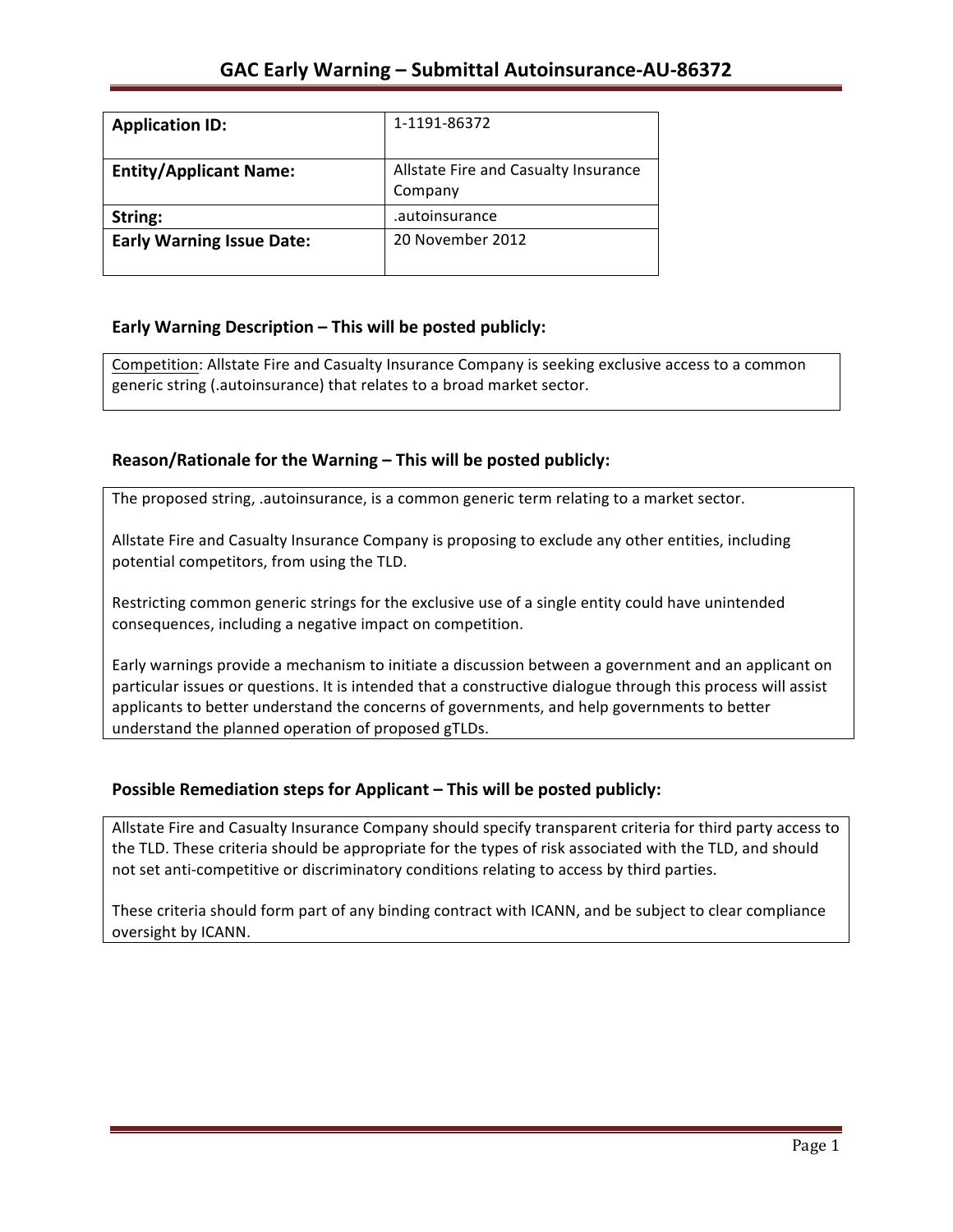| <b>Application ID:</b>           | 1-1191-86372                                    |
|----------------------------------|-------------------------------------------------|
| <b>Entity/Applicant Name:</b>    | Allstate Fire and Casualty Insurance<br>Company |
| String:                          | .autoinsurance                                  |
| <b>Early Warning Issue Date:</b> | 20 November 2012                                |

## **Early Warning Description – This will be posted publicly:**

Competition: Allstate Fire and Casualty Insurance Company is seeking exclusive access to a common generic string (.autoinsurance) that relates to a broad market sector.

## Reason/Rationale for the Warning – This will be posted publicly:

The proposed string, .autoinsurance, is a common generic term relating to a market sector.

Allstate Fire and Casualty Insurance Company is proposing to exclude any other entities, including potential competitors, from using the TLD.

Restricting common generic strings for the exclusive use of a single entity could have unintended consequences, including a negative impact on competition.

Early warnings provide a mechanism to initiate a discussion between a government and an applicant on particular issues or questions. It is intended that a constructive dialogue through this process will assist applicants to better understand the concerns of governments, and help governments to better understand the planned operation of proposed gTLDs.

### **Possible Remediation steps for Applicant – This will be posted publicly:**

Allstate Fire and Casualty Insurance Company should specify transparent criteria for third party access to the TLD. These criteria should be appropriate for the types of risk associated with the TLD, and should not set anti-competitive or discriminatory conditions relating to access by third parties.

These criteria should form part of any binding contract with ICANN, and be subject to clear compliance oversight by ICANN.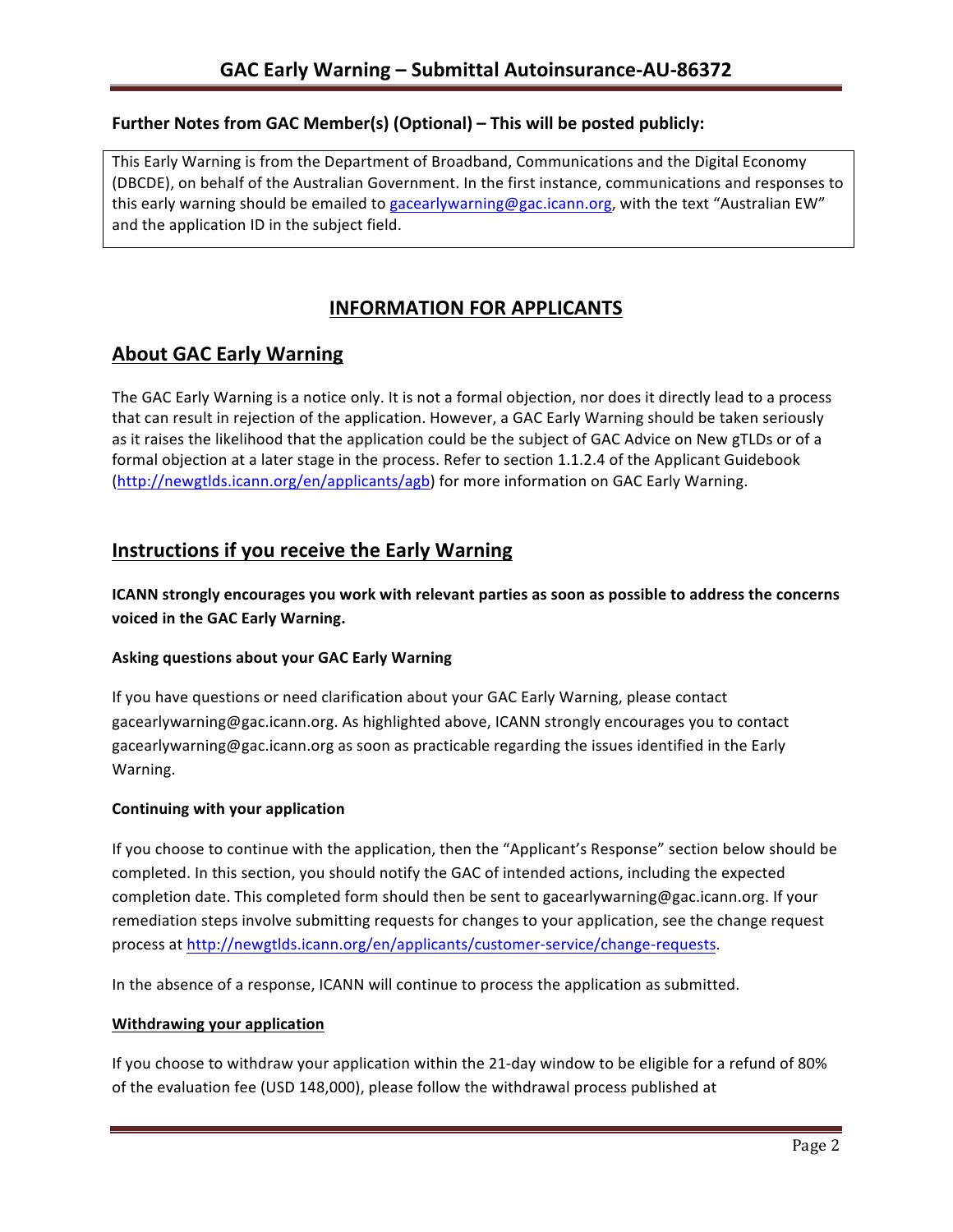### **Further Notes from GAC Member(s) (Optional) – This will be posted publicly:**

This Early Warning is from the Department of Broadband, Communications and the Digital Economy (DBCDE), on behalf of the Australian Government. In the first instance, communications and responses to this early warning should be emailed to gacearlywarning@gac.icann.org, with the text "Australian EW" and the application ID in the subject field.

# **INFORMATION FOR APPLICANTS**

# **About GAC Early Warning**

The GAC Early Warning is a notice only. It is not a formal objection, nor does it directly lead to a process that can result in rejection of the application. However, a GAC Early Warning should be taken seriously as it raises the likelihood that the application could be the subject of GAC Advice on New gTLDs or of a formal objection at a later stage in the process. Refer to section 1.1.2.4 of the Applicant Guidebook (http://newgtlds.icann.org/en/applicants/agb) for more information on GAC Early Warning.

## **Instructions if you receive the Early Warning**

**ICANN** strongly encourages you work with relevant parties as soon as possible to address the concerns **voiced in the GAC Early Warning.** 

#### **Asking questions about your GAC Early Warning**

If you have questions or need clarification about your GAC Early Warning, please contact gacearlywarning@gac.icann.org. As highlighted above, ICANN strongly encourages you to contact gacearlywarning@gac.icann.org as soon as practicable regarding the issues identified in the Early Warning. 

#### **Continuing with your application**

If you choose to continue with the application, then the "Applicant's Response" section below should be completed. In this section, you should notify the GAC of intended actions, including the expected completion date. This completed form should then be sent to gacearlywarning@gac.icann.org. If your remediation steps involve submitting requests for changes to your application, see the change request process at http://newgtlds.icann.org/en/applicants/customer-service/change-requests.

In the absence of a response, ICANN will continue to process the application as submitted.

#### **Withdrawing your application**

If you choose to withdraw your application within the 21-day window to be eligible for a refund of 80% of the evaluation fee (USD 148,000), please follow the withdrawal process published at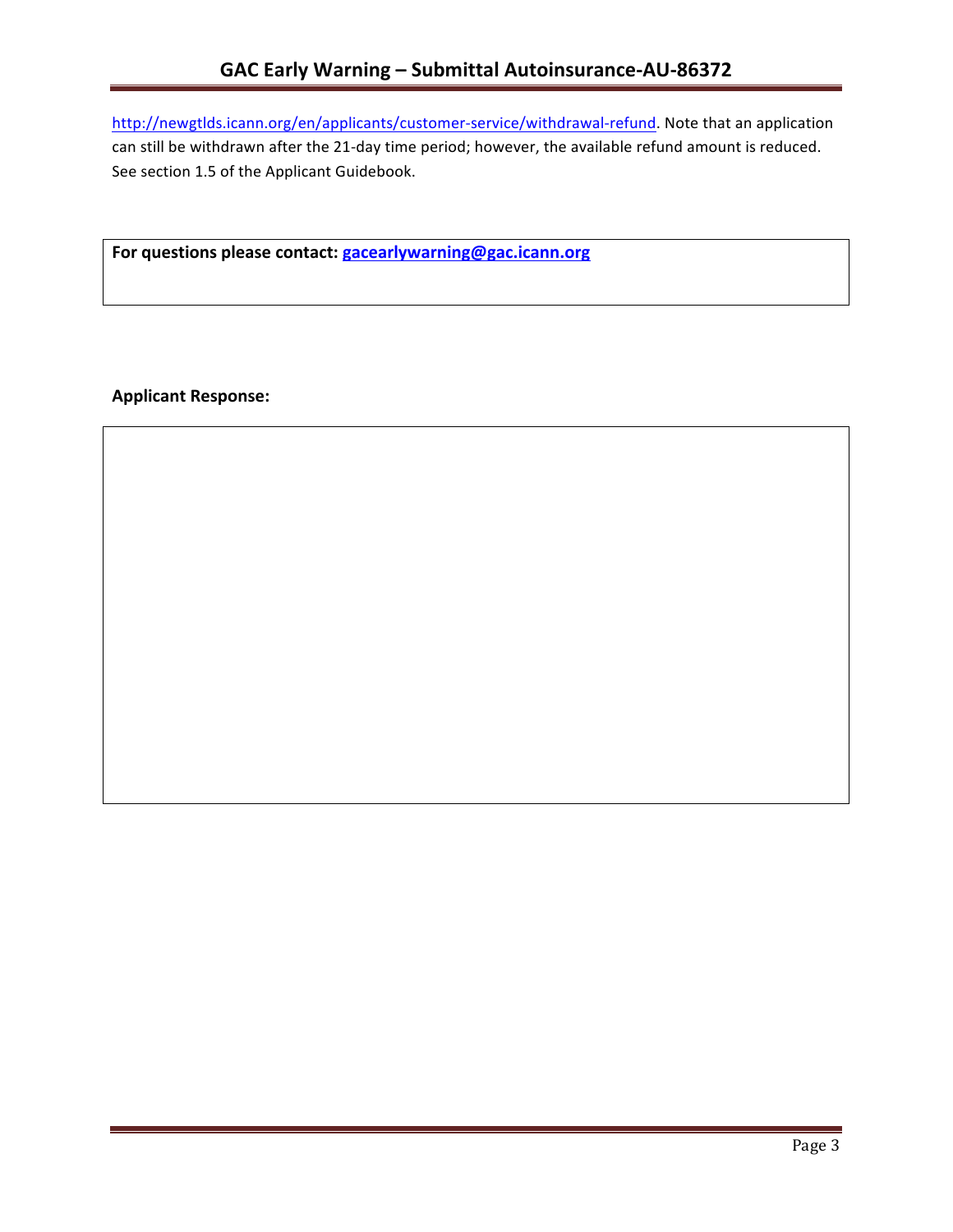http://newgtlds.icann.org/en/applicants/customer-service/withdrawal-refund. Note that an application can still be withdrawn after the 21-day time period; however, the available refund amount is reduced. See section 1.5 of the Applicant Guidebook.

For questions please contact: gacearlywarning@gac.icann.org

**Applicant Response:**